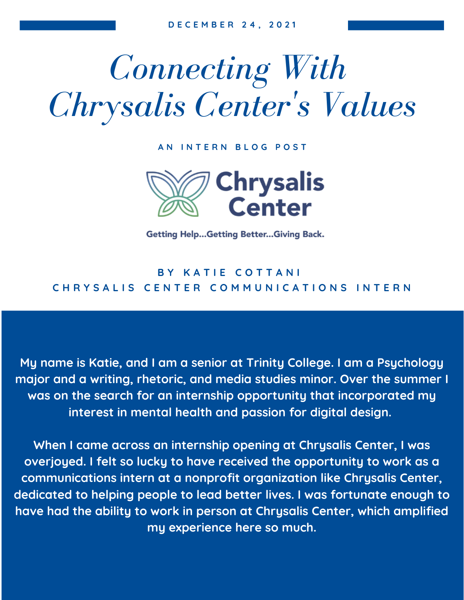## *Connecting With Chrysalis Center 's Values*

**A N I N T E R N B L O G P O S T**



**Getting Help...Getting Better...Giving Back.** 

## **B Y K A T I E C O T T A N I** CHRYSALIS CENTER COMMUNICATIONS INTERN

**My name is Katie, and I am a senior at Trinity College. I am a Psychology major and a writing, rhetoric, and media studies minor. Over the summer I was on the search for an internship opportunity that incorporated my interest in mental health and passion for digital design.**

**When I came across an internship opening at Chrysalis Center, I was overjoyed. I felt so lucky to have received the opportunity to work as a communications intern at a nonprofit organization like Chrysalis Center, dedicated to helping people to lead better lives. I was fortunate enough to have had the ability to work in person at Chrysalis Center, which amplified my experience here so much.**